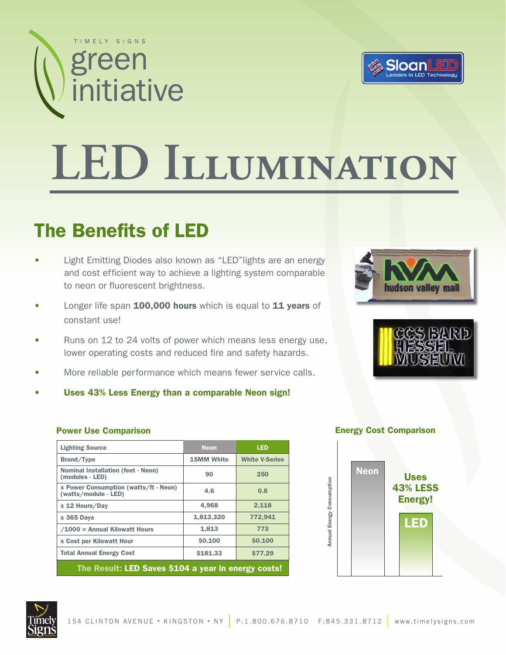



# **LED Illumination**

#### The Benefits of LED

- Light Emitting Diodes also known as "LED" lights are an energy and cost efficient way to achieve a lighting system comparable to neon or fluorescent brightness.
- Longer life span 100,000 hours which is equal to 11 years of constant use!
- Runs on 12 to 24 volts of power which means less energy use, lower operating costs and reduced fire and safety hazards.
- More reliable performance which means fewer service calls.
- Uses 43% Less Energy than a comparable Neon sign!





| <b>Lighting Source</b>                                        | <b>Neon</b>       | <b>LED</b>            |
|---------------------------------------------------------------|-------------------|-----------------------|
| Brand/Type                                                    | <b>15MM White</b> | <b>White V-Series</b> |
| <b>Nominal Installation (feet - Neon)</b><br>(modules - LED)  | 90                | 250                   |
| x Power Consumption (watts/ft - Neon)<br>(watts/module - LED) | 4.6               | 0.6                   |
| x 12 Hours/Day                                                | 4.968             | 2.118                 |
| <b>x 365 Days</b>                                             | 1,813,320         | 772.941               |
| /1000 = Annual Kilowatt Hours                                 | 1,813             | 773                   |
| x Cost per Kilowatt Hour                                      | \$0.100           | \$0.100               |
| <b>Total Annual Energy Cost</b>                               | \$181.33          | <b>\$77.29</b>        |
| The Result: LED Saves \$104 a year in energy costs!           |                   |                       |

#### **Power Use Comparison Energy Cost Comparison**



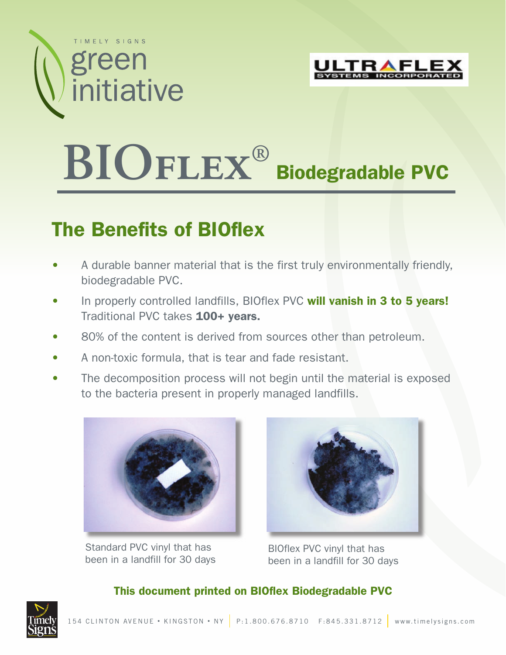



## **BIOflex®**  Biodegradable PVC

### The Benefits of BIOflex

- A durable banner material that is the first truly environmentally friendly, biodegradable PVC.
- In properly controlled landfills, BIOflex PVC will vanish in 3 to 5 years! Traditional PVC takes 100+ years.
- 80% of the content is derived from sources other than petroleum.
- A non-toxic formula, that is tear and fade resistant.
- The decomposition process will not begin until the material is exposed to the bacteria present in properly managed landfills.



Standard PVC vinyl that has been in a landfill for 30 days



BIOflex PVC vinyl that has been in a landfill for 30 days

#### This document printed on BIOflex Biodegradable PVC